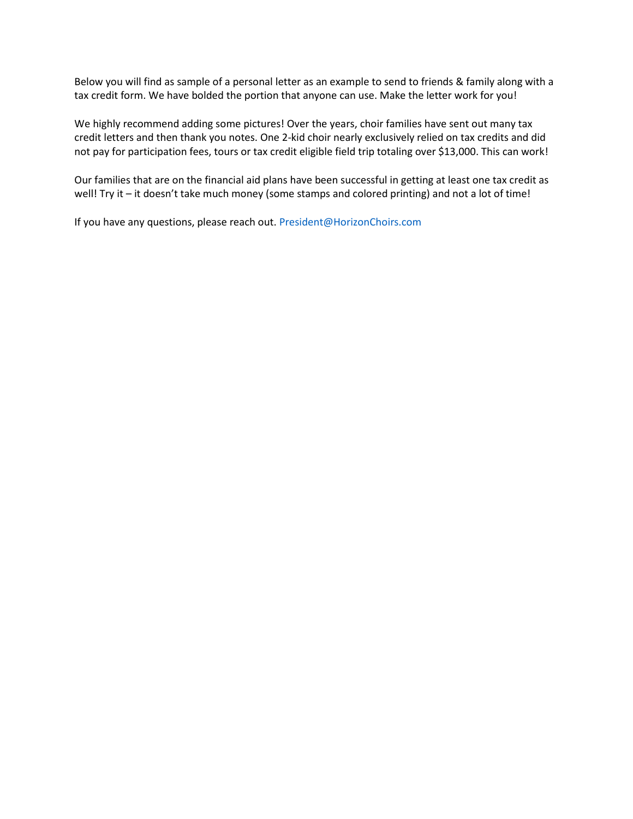Below you will find as sample of a personal letter as an example to send to friends & family along with a tax credit form. We have bolded the portion that anyone can use. Make the letter work for you!

We highly recommend adding some pictures! Over the years, choir families have sent out many tax credit letters and then thank you notes. One 2-kid choir nearly exclusively relied on tax credits and did not pay for participation fees, tours or tax credit eligible field trip totaling over \$13,000. This can work!

Our families that are on the financial aid plans have been successful in getting at least one tax credit as well! Try it – it doesn't take much money (some stamps and colored printing) and not a lot of time!

If you have any questions, please reach out. President@HorizonChoirs.com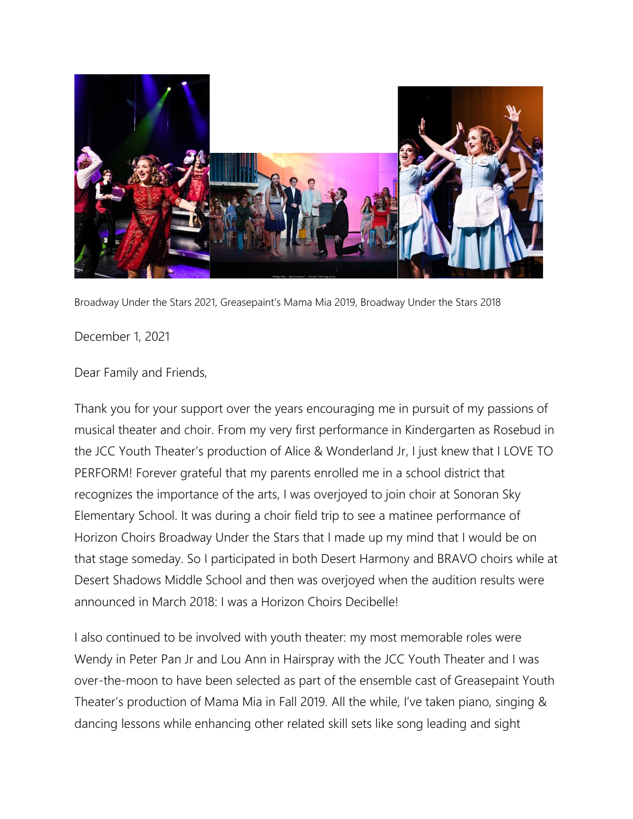

Broadway Under the Stars 2021, Greasepaint's Mama Mia 2019, Broadway Under the Stars 2018

## December 1, 2021

## Dear Family and Friends,

Thank you for your support over the years encouraging me in pursuit of my passions of musical theater and choir. From my very first performance in Kindergarten as Rosebud in the JCC Youth Theater's production of Alice & Wonderland Jr, I just knew that I LOVE TO PERFORM! Forever grateful that my parents enrolled me in a school district that recognizes the importance of the arts, I was overjoyed to join choir at Sonoran Sky Elementary School. It was during a choir field trip to see a matinee performance of Horizon Choirs Broadway Under the Stars that I made up my mind that I would be on that stage someday. So I participated in both Desert Harmony and BRAVO choirs while at Desert Shadows Middle School and then was overjoyed when the audition results were announced in March 2018: I was a Horizon Choirs Decibelle!

I also continued to be involved with youth theater: my most memorable roles were Wendy in Peter Pan Jr and Lou Ann in Hairspray with the JCC Youth Theater and I was over-the-moon to have been selected as part of the ensemble cast of Greasepaint Youth Theater's production of Mama Mia in Fall 2019. All the while, I've taken piano, singing & dancing lessons while enhancing other related skill sets like song leading and sight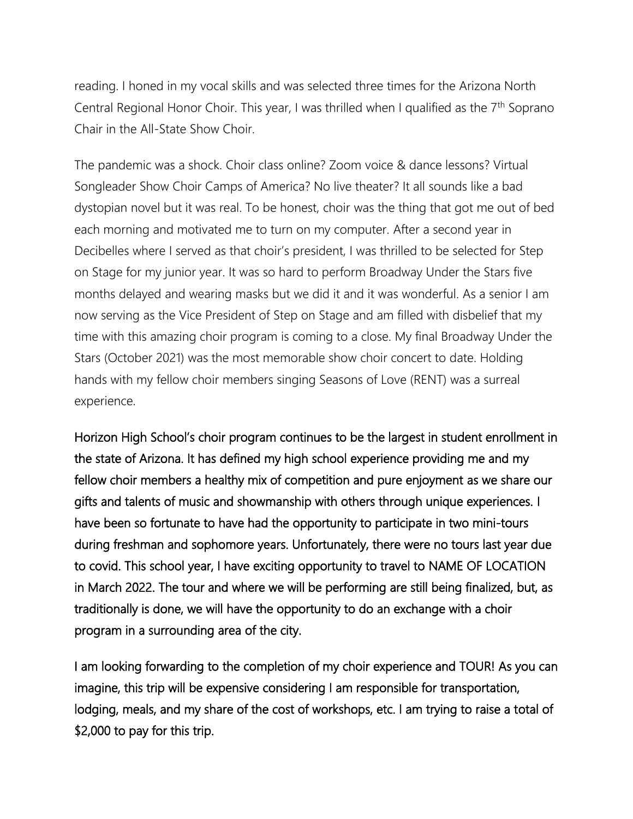reading. I honed in my vocal skills and was selected three times for the Arizona North Central Regional Honor Choir. This year, I was thrilled when I qualified as the  $7<sup>th</sup>$  Soprano Chair in the All-State Show Choir.

The pandemic was a shock. Choir class online? Zoom voice & dance lessons? Virtual Songleader Show Choir Camps of America? No live theater? It all sounds like a bad dystopian novel but it was real. To be honest, choir was the thing that got me out of bed each morning and motivated me to turn on my computer. After a second year in Decibelles where I served as that choir's president, I was thrilled to be selected for Step on Stage for my junior year. It was so hard to perform Broadway Under the Stars five months delayed and wearing masks but we did it and it was wonderful. As a senior I am now serving as the Vice President of Step on Stage and am filled with disbelief that my time with this amazing choir program is coming to a close. My final Broadway Under the Stars (October 2021) was the most memorable show choir concert to date. Holding hands with my fellow choir members singing Seasons of Love (RENT) was a surreal experience.

Horizon High School's choir program continues to be the largest in student enrollment in the state of Arizona. It has defined my high school experience providing me and my fellow choir members a healthy mix of competition and pure enjoyment as we share our gifts and talents of music and showmanship with others through unique experiences. I have been so fortunate to have had the opportunity to participate in two mini-tours during freshman and sophomore years. Unfortunately, there were no tours last year due to covid. This school year, I have exciting opportunity to travel to NAME OF LOCATION in March 2022. The tour and where we will be performing are still being finalized, but, as traditionally is done, we will have the opportunity to do an exchange with a choir program in a surrounding area of the city.

I am looking forwarding to the completion of my choir experience and TOUR! As you can imagine, this trip will be expensive considering I am responsible for transportation, lodging, meals, and my share of the cost of workshops, etc. I am trying to raise a total of \$2,000 to pay for this trip.